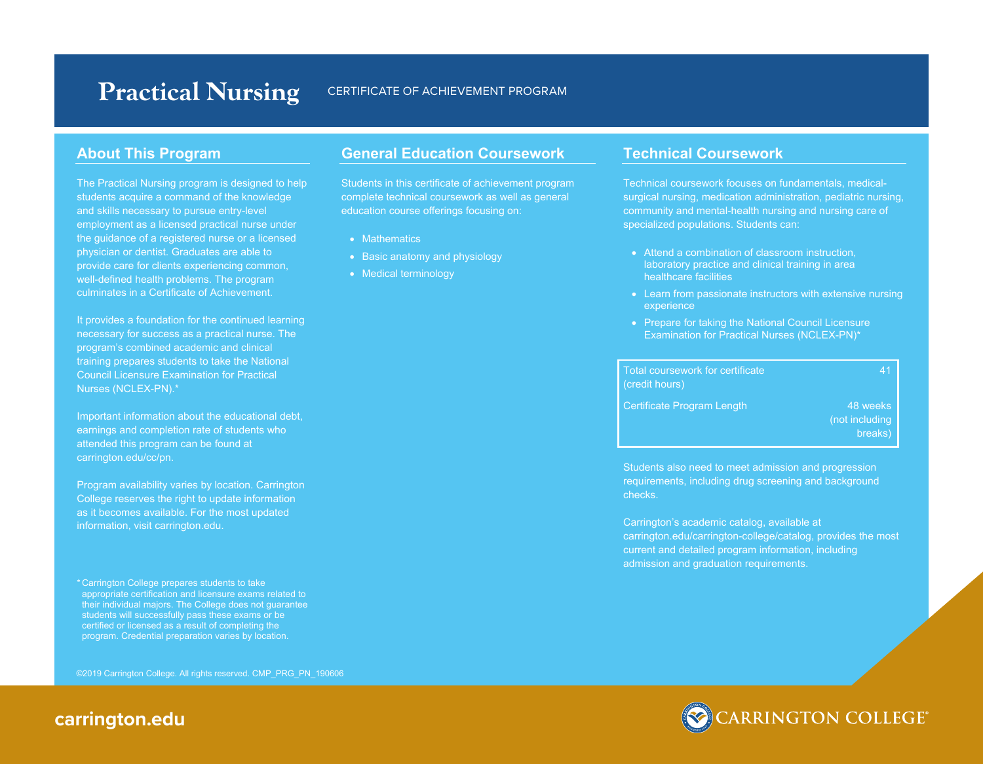# Practical Nursing CERTIFICATE OF ACHIEVEMENT PROGRAM

## **About This Program**

The Practical Nursing program is designed to help students acquire a command of the knowledge and skills necessary to pursue entry-level employment as a licensed practical nurse under the guidance of a registered nurse or a licensed physician or dentist. Graduates are able to provide care for clients experiencing common, well-defined health problems. The program culminates in a Certificate of Achievement.

It provides a foundation for the continued learning necessary for success as a practical nurse. The program's combined academic and clinical training prepares students to take the National Council Licensure Examination for Practical Nurses (NCLEX-PN).\*

Important information about the educational debt, earnings and completion rate of students who attended this program can be found at carrington.edu/cc/pn.

Program availability varies by location. Carrington College reserves the right to update information as it becomes available. For the most updated information, visit carrington.edu.

\* Carrington College prepares students to take appropriate certification and licensure exams related to their individual majors. The College does not guarantee students will successfully pass these exams or be certified or licensed as a result of completing the program. Credential preparation varies by location.

©2019 Carrington College. All rights reserved. CMP\_PRG\_PN\_190606

## **General Education Coursework**

Students in this certificate of achievement program complete technical coursework as well as general education course offerings focusing on:

- Mathematics
- Basic anatomy and physiology
- Medical terminology

#### **Technical Coursework**

Technical coursework focuses on fundamentals, medicalsurgical nursing, medication administration, pediatric nursing, community and mental-health nursing and nursing care of specialized populations. Students can:

- Attend a combination of classroom instruction, laboratory practice and clinical training in area healthcare facilities
- Learn from passionate instructors with extensive nursing experience
- Prepare for taking the National Council Licensure Examination for Practical Nurses (NCLEX-PN)\*

| Total coursework for certificate<br>(credit hours) | 41                                    |
|----------------------------------------------------|---------------------------------------|
| <b>Certificate Program Length</b>                  | 48 weeks<br>(not including<br>breaks) |

Students also need to meet admission and progression requirements, including drug screening and background checks.

Carrington's academic catalog, available at carrington.edu/carrington-college/catalog, provides the most current and detailed program information, including admission and graduation requirements.



## **carrington.edu**